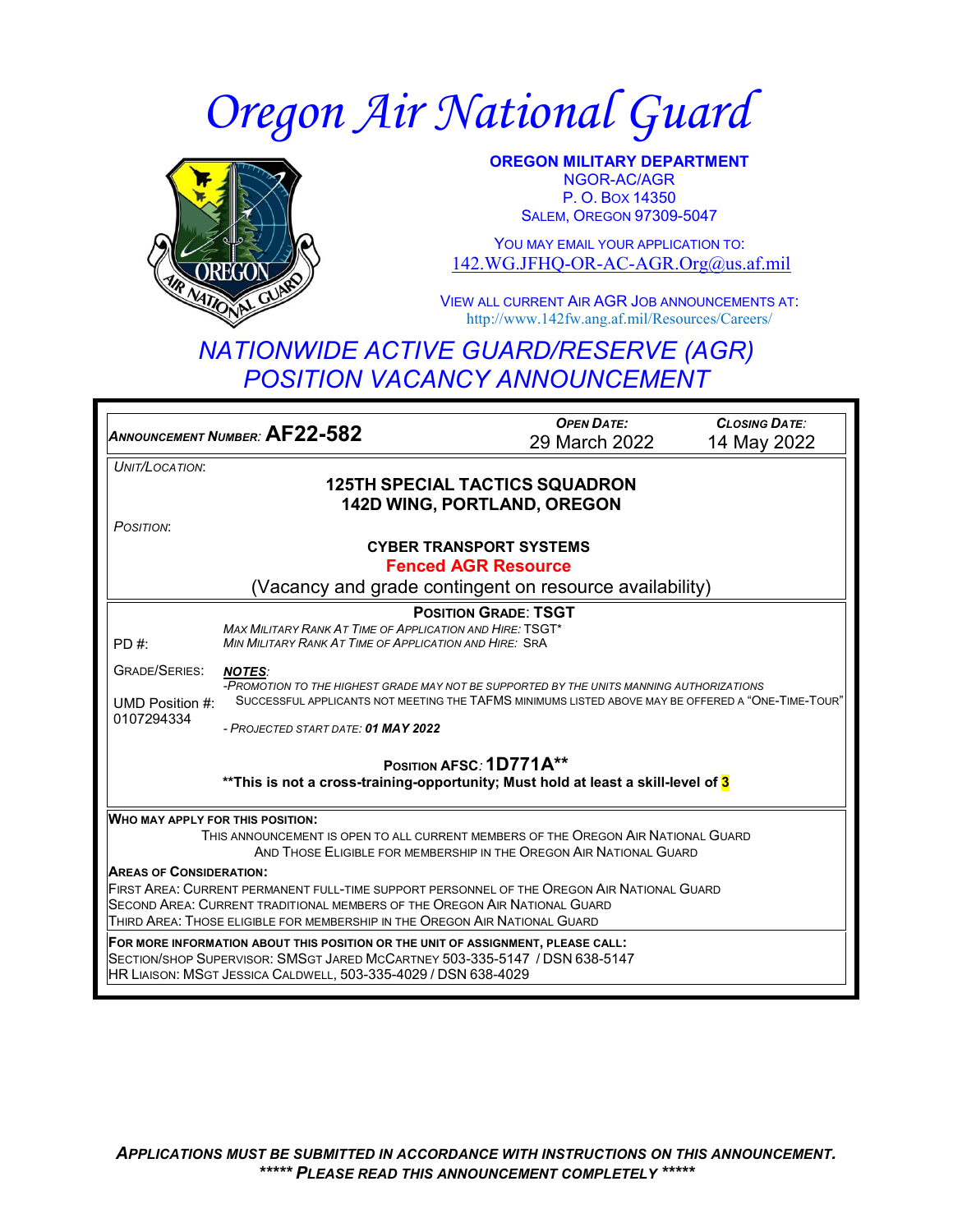# *Oregon Air National Guard*



**OREGON MILITARY DEPARTMENT** NGOR-AC/AGR P. O. BOX 14350 **SALEM, OREGON 97309-5047** 

YOU MAY EMAIL YOUR APPLICATION TO: [142.WG.JFHQ-OR-AC-AGR.Org@us.af.mil](mailto:142.WG.JFHQ-OR-AC-AGR.Org@us.af.mil)

VIEW ALL CURRENT AIR AGR JOB ANNOUNCEMENTS AT: http://www.142fw.ang.af.mil/Resources/Careers/

## *NATIONWIDE ACTIVE GUARD/RESERVE (AGR) POSITION VACANCY ANNOUNCEMENT*

*ANNOUNCEMENT NUMBER:* **AF22-582** *OPEN DATE:* 29 March 2022 *CLOSING DATE:* 14 May 2022 *UNIT/LOCATION*: **125TH SPECIAL TACTICS SQUADRON 142D WING, PORTLAND, OREGON** *POSITION*: **CYBER TRANSPORT SYSTEMS Fenced AGR Resource** (Vacancy and grade contingent on resource availability) PD #: GRADE/SERIES: *NOTES:*  UMD Position #: 0107294334 **POSITION GRADE**: **TSGT** *MAX MILITARY RANK AT TIME OF APPLICATION AND HIRE:* TSGT\* *MIN MILITARY RANK AT TIME OF APPLICATION AND HIRE:* SRA *-PROMOTION TO THE HIGHEST GRADE MAY NOT BE SUPPORTED BY THE UNITS MANNING AUTHORIZATIONS* SUCCESSFUL APPLICANTS NOT MEETING THE TAFMS MINIMUMS LISTED ABOVE MAY BE OFFERED A "ONE-TIME-TOUR" *- PROJECTED START DATE: 01 MAY 2022* **POSITION AFSC***:* **1D771A\*\* \*\*This is not a cross-training-opportunity; Must hold at least a skill-level of 3 WHO MAY APPLY FOR THIS POSITION:** THIS ANNOUNCEMENT IS OPEN TO ALL CURRENT MEMBERS OF THE OREGON AIR NATIONAL GUARD AND THOSE ELIGIBLE FOR MEMBERSHIP IN THE OREGON AIR NATIONAL GUARD **AREAS OF CONSIDERATION:** FIRST AREA: CURRENT PERMANENT FULL-TIME SUPPORT PERSONNEL OF THE OREGON AIR NATIONAL GUARD SECOND AREA: CURRENT TRADITIONAL MEMBERS OF THE OREGON AIR NATIONAL GUARD THIRD AREA: THOSE ELIGIBLE FOR MEMBERSHIP IN THE OREGON AIR NATIONAL GUARD **FOR MORE INFORMATION ABOUT THIS POSITION OR THE UNIT OF ASSIGNMENT, PLEASE CALL:** SECTION/SHOP SUPERVISOR: SMSGT JARED MCCARTNEY 503-335-5147 / DSN 638-5147 HR LIAISON: MSGT JESSICA CALDWELL, 503-335-4029 / DSN 638-4029

*APPLICATIONS MUST BE SUBMITTED IN ACCORDANCE WITH INSTRUCTIONS ON THIS ANNOUNCEMENT. \*\*\*\*\* PLEASE READ THIS ANNOUNCEMENT COMPLETELY \*\*\*\*\**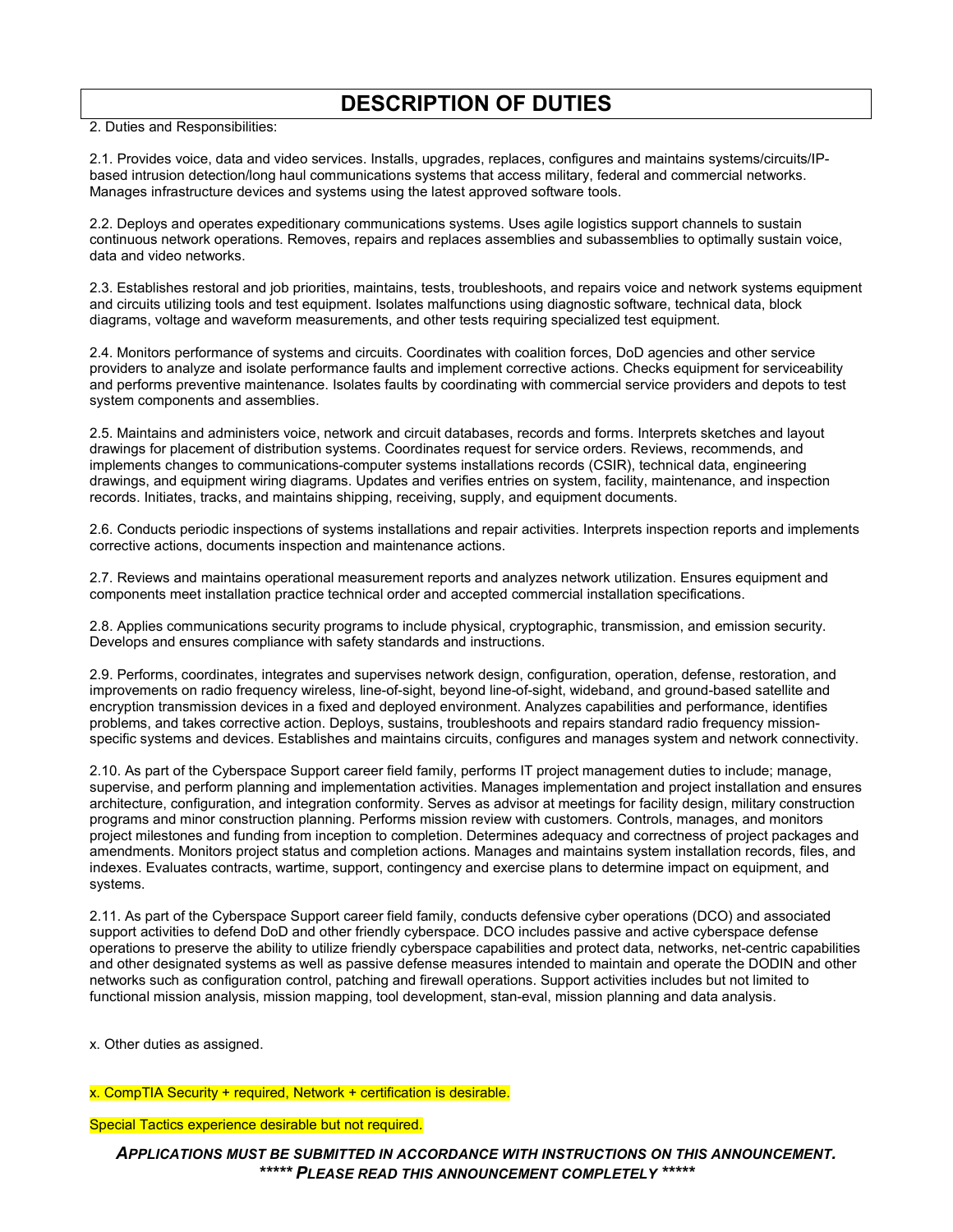#### **DESCRIPTION OF DUTIES**

2. Duties and Responsibilities:

2.1. Provides voice, data and video services. Installs, upgrades, replaces, configures and maintains systems/circuits/IPbased intrusion detection/long haul communications systems that access military, federal and commercial networks. Manages infrastructure devices and systems using the latest approved software tools.

2.2. Deploys and operates expeditionary communications systems. Uses agile logistics support channels to sustain continuous network operations. Removes, repairs and replaces assemblies and subassemblies to optimally sustain voice, data and video networks.

2.3. Establishes restoral and job priorities, maintains, tests, troubleshoots, and repairs voice and network systems equipment and circuits utilizing tools and test equipment. Isolates malfunctions using diagnostic software, technical data, block diagrams, voltage and waveform measurements, and other tests requiring specialized test equipment.

2.4. Monitors performance of systems and circuits. Coordinates with coalition forces, DoD agencies and other service providers to analyze and isolate performance faults and implement corrective actions. Checks equipment for serviceability and performs preventive maintenance. Isolates faults by coordinating with commercial service providers and depots to test system components and assemblies.

2.5. Maintains and administers voice, network and circuit databases, records and forms. Interprets sketches and layout drawings for placement of distribution systems. Coordinates request for service orders. Reviews, recommends, and implements changes to communications-computer systems installations records (CSIR), technical data, engineering drawings, and equipment wiring diagrams. Updates and verifies entries on system, facility, maintenance, and inspection records. Initiates, tracks, and maintains shipping, receiving, supply, and equipment documents.

2.6. Conducts periodic inspections of systems installations and repair activities. Interprets inspection reports and implements corrective actions, documents inspection and maintenance actions.

2.7. Reviews and maintains operational measurement reports and analyzes network utilization. Ensures equipment and components meet installation practice technical order and accepted commercial installation specifications.

2.8. Applies communications security programs to include physical, cryptographic, transmission, and emission security. Develops and ensures compliance with safety standards and instructions.

2.9. Performs, coordinates, integrates and supervises network design, configuration, operation, defense, restoration, and improvements on radio frequency wireless, line-of-sight, beyond line-of-sight, wideband, and ground-based satellite and encryption transmission devices in a fixed and deployed environment. Analyzes capabilities and performance, identifies problems, and takes corrective action. Deploys, sustains, troubleshoots and repairs standard radio frequency missionspecific systems and devices. Establishes and maintains circuits, configures and manages system and network connectivity.

2.10. As part of the Cyberspace Support career field family, performs IT project management duties to include; manage, supervise, and perform planning and implementation activities. Manages implementation and project installation and ensures architecture, configuration, and integration conformity. Serves as advisor at meetings for facility design, military construction programs and minor construction planning. Performs mission review with customers. Controls, manages, and monitors project milestones and funding from inception to completion. Determines adequacy and correctness of project packages and amendments. Monitors project status and completion actions. Manages and maintains system installation records, files, and indexes. Evaluates contracts, wartime, support, contingency and exercise plans to determine impact on equipment, and systems.

2.11. As part of the Cyberspace Support career field family, conducts defensive cyber operations (DCO) and associated support activities to defend DoD and other friendly cyberspace. DCO includes passive and active cyberspace defense operations to preserve the ability to utilize friendly cyberspace capabilities and protect data, networks, net-centric capabilities and other designated systems as well as passive defense measures intended to maintain and operate the DODIN and other networks such as configuration control, patching and firewall operations. Support activities includes but not limited to functional mission analysis, mission mapping, tool development, stan-eval, mission planning and data analysis.

x. Other duties as assigned.

x. CompTIA Security + required, Network + certification is desirable.

Special Tactics experience desirable but not required.

*APPLICATIONS MUST BE SUBMITTED IN ACCORDANCE WITH INSTRUCTIONS ON THIS ANNOUNCEMENT. \*\*\*\*\* PLEASE READ THIS ANNOUNCEMENT COMPLETELY \*\*\*\*\**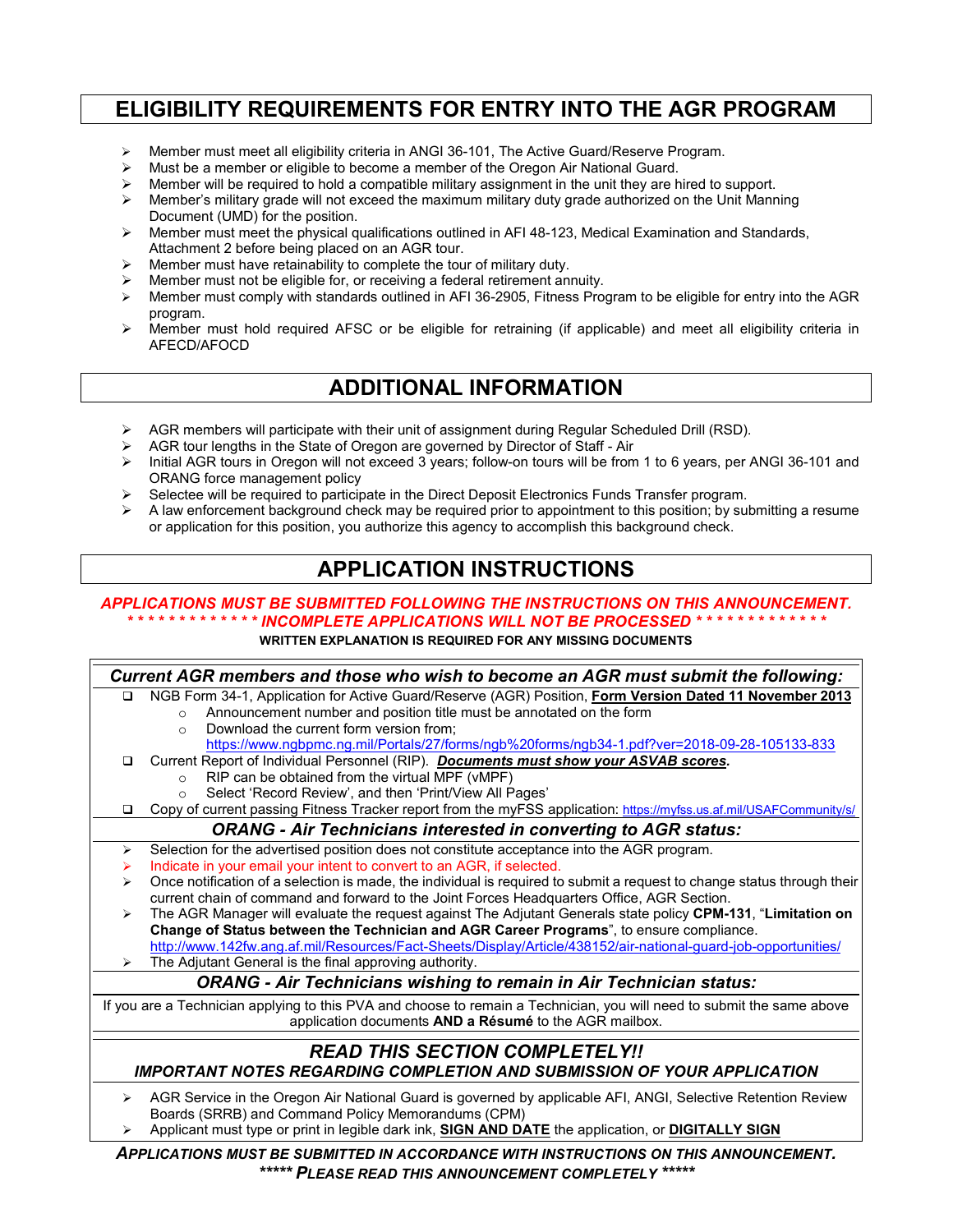## **ELIGIBILITY REQUIREMENTS FOR ENTRY INTO THE AGR PROGRAM**

- Member must meet all eligibility criteria in ANGI 36-101, The Active Guard/Reserve Program.
- $\triangleright$  Must be a member or eligible to become a member of the Oregon Air National Guard.
- $\triangleright$  Member will be required to hold a compatible military assignment in the unit they are hired to support.
- $\triangleright$  Member's military grade will not exceed the maximum military duty grade authorized on the Unit Manning Document (UMD) for the position.
- $\triangleright$  Member must meet the physical qualifications outlined in AFI 48-123, Medical Examination and Standards, Attachment 2 before being placed on an AGR tour.
- $\triangleright$  Member must have retainability to complete the tour of military duty.
- Member must not be eligible for, or receiving a federal retirement annuity.
- Member must comply with standards outlined in AFI 36-2905, Fitness Program to be eligible for entry into the AGR program.
- $\triangleright$  Member must hold required AFSC or be eligible for retraining (if applicable) and meet all eligibility criteria in AFECD/AFOCD

#### **ADDITIONAL INFORMATION**

- $\triangleright$  AGR members will participate with their unit of assignment during Regular Scheduled Drill (RSD).
- $\triangleright$  AGR tour lengths in the State of Oregon are governed by Director of Staff Air<br> $\triangleright$  Initial AGR tours in Oregon will not exceed 3 years: follow-on tours will be from
- Initial AGR tours in Oregon will not exceed 3 years; follow-on tours will be from 1 to 6 years, per ANGI 36-101 and ORANG force management policy
- Selectee will be required to participate in the Direct Deposit Electronics Funds Transfer program.
- A law enforcement background check may be required prior to appointment to this position; by submitting a resume or application for this position, you authorize this agency to accomplish this background check.

### **APPLICATION INSTRUCTIONS**

#### *APPLICATIONS MUST BE SUBMITTED FOLLOWING THE INSTRUCTIONS ON THIS ANNOUNCEMENT. \* \* \* \* \* \* \* \* \* \* \* \* \* INCOMPLETE APPLICATIONS WILL NOT BE PROCESSED \* \* \* \* \* \* \* \* \* \* \* \* \**

#### **WRITTEN EXPLANATION IS REQUIRED FOR ANY MISSING DOCUMENTS**



Applicant must type or print in legible dark ink, **SIGN AND DATE** the application, or **DIGITALLY SIGN**

*APPLICATIONS MUST BE SUBMITTED IN ACCORDANCE WITH INSTRUCTIONS ON THIS ANNOUNCEMENT. \*\*\*\*\* PLEASE READ THIS ANNOUNCEMENT COMPLETELY \*\*\*\*\**